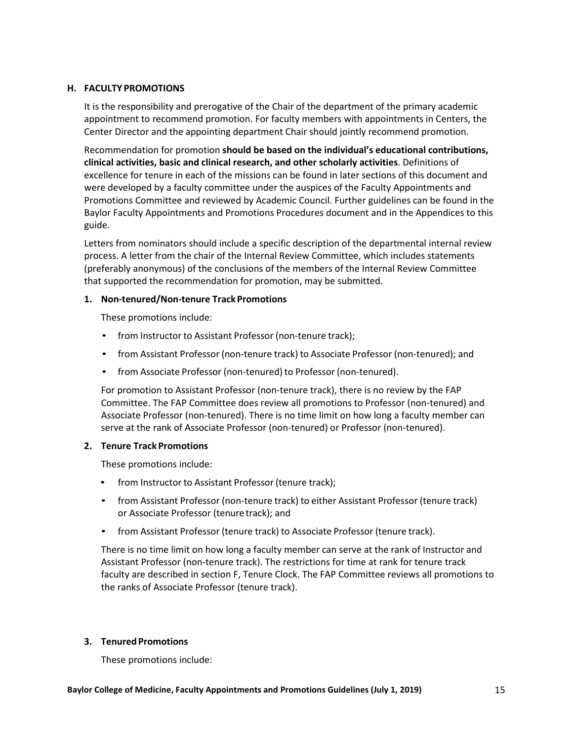# **H. FACULTY PROMOTIONS**

It is the responsibility and prerogative of the Chair of the department of the primary academic appointment to recommend promotion. For faculty members with appointments in Centers, the Center Director and the appointing department Chair should jointly recommend promotion.

Recommendation for promotion **should be based on the individual's educational contributions, clinical activities, basic and clinical research, and other scholarly activities**. Definitions of excellence for tenure in each of the missions can be found in later sections of this document and were developed by a faculty committee under the auspices of the Faculty Appointments and Promotions Committee and reviewed by Academic Council. Further guidelines can be found in the Baylor Faculty Appointments and Promotions Procedures document and in the Appendices to this guide.

Letters from nominators should include a specific description of the departmental internal review process. A letter from the chair of the Internal Review Committee, which includes statements (preferably anonymous) of the conclusions of the members of the Internal Review Committee that supported the recommendation for promotion, may be submitted.

## **1. Non-tenured/Non-tenure Track Promotions**

These promotions include:

- from Instructor to Assistant Professor (non-tenure track);
- from Assistant Professor (non-tenure track) to Associate Professor (non-tenured); and
- from Associate Professor (non-tenured) to Professor (non-tenured).

For promotion to Assistant Professor (non-tenure track), there is no review by the FAP Committee. The FAP Committee does review all promotions to Professor (non-tenured) and Associate Professor (non-tenured). There is no time limit on how long a faculty member can serve at the rank of Associate Professor (non-tenured) or Professor (non-tenured).

# **2. Tenure Track Promotions**

These promotions include:

- from Instructor to Assistant Professor (tenure track);
- from Assistant Professor (non-tenure track) to either Assistant Professor (tenure track) or Associate Professor (tenuretrack); and
- from Assistant Professor (tenure track) to Associate Professor (tenure track).

There is no time limit on how long a faculty member can serve at the rank of Instructor and Assistant Professor (non-tenure track). The restrictions for time at rank for tenure track faculty are described in section F, Tenure Clock. The FAP Committee reviews all promotions to the ranks of Associate Professor (tenure track).

# **3. Tenured Promotions**

These promotions include: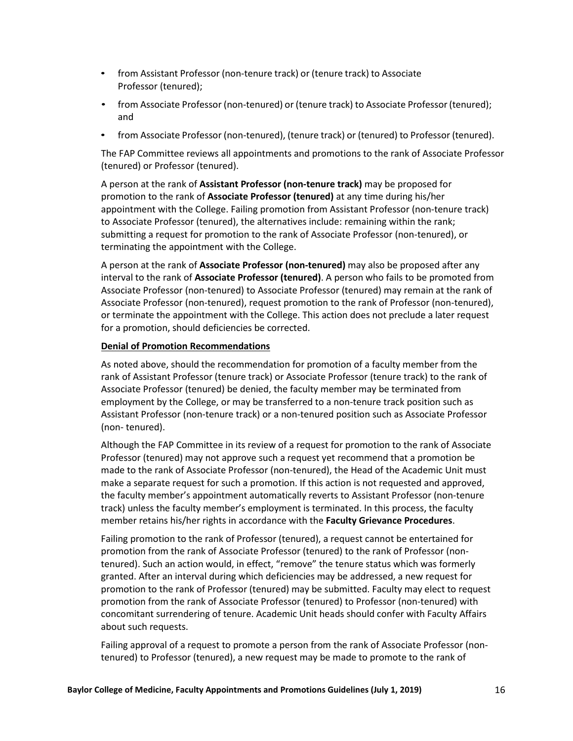- from Assistant Professor (non-tenure track) or (tenure track) to Associate Professor (tenured);
- from Associate Professor (non-tenured) or (tenure track) to Associate Professor (tenured); and
- from Associate Professor (non-tenured), (tenure track) or (tenured) to Professor (tenured).

The FAP Committee reviews all appointments and promotions to the rank of Associate Professor (tenured) or Professor (tenured).

A person at the rank of **Assistant Professor (non-tenure track)** may be proposed for promotion to the rank of **Associate Professor (tenured)** at any time during his/her appointment with the College. Failing promotion from Assistant Professor (non-tenure track) to Associate Professor (tenured), the alternatives include: remaining within the rank; submitting a request for promotion to the rank of Associate Professor (non-tenured), or terminating the appointment with the College.

A person at the rank of **Associate Professor (non-tenured)** may also be proposed after any interval to the rank of **Associate Professor (tenured)**. A person who fails to be promoted from Associate Professor (non-tenured) to Associate Professor (tenured) may remain at the rank of Associate Professor (non-tenured), request promotion to the rank of Professor (non-tenured), or terminate the appointment with the College. This action does not preclude a later request for a promotion, should deficiencies be corrected.

# **Denial of Promotion Recommendations**

As noted above, should the recommendation for promotion of a faculty member from the rank of Assistant Professor (tenure track) or Associate Professor (tenure track) to the rank of Associate Professor (tenured) be denied, the faculty member may be terminated from employment by the College, or may be transferred to a non-tenure track position such as Assistant Professor (non-tenure track) or a non-tenured position such as Associate Professor (non- tenured).

Although the FAP Committee in its review of a request for promotion to the rank of Associate Professor (tenured) may not approve such a request yet recommend that a promotion be made to the rank of Associate Professor (non-tenured), the Head of the Academic Unit must make a separate request for such a promotion. If this action is not requested and approved, the faculty member's appointment automatically reverts to Assistant Professor (non-tenure track) unless the faculty member's employment is terminated. In this process, the faculty member retains his/her rights in accordance with the **Faculty Grievance Procedures**.

Failing promotion to the rank of Professor (tenured), a request cannot be entertained for promotion from the rank of Associate Professor (tenured) to the rank of Professor (nontenured). Such an action would, in effect, "remove" the tenure status which was formerly granted. After an interval during which deficiencies may be addressed, a new request for promotion to the rank of Professor (tenured) may be submitted. Faculty may elect to request promotion from the rank of Associate Professor (tenured) to Professor (non-tenured) with concomitant surrendering of tenure. Academic Unit heads should confer with Faculty Affairs about such requests.

Failing approval of a request to promote a person from the rank of Associate Professor (nontenured) to Professor (tenured), a new request may be made to promote to the rank of